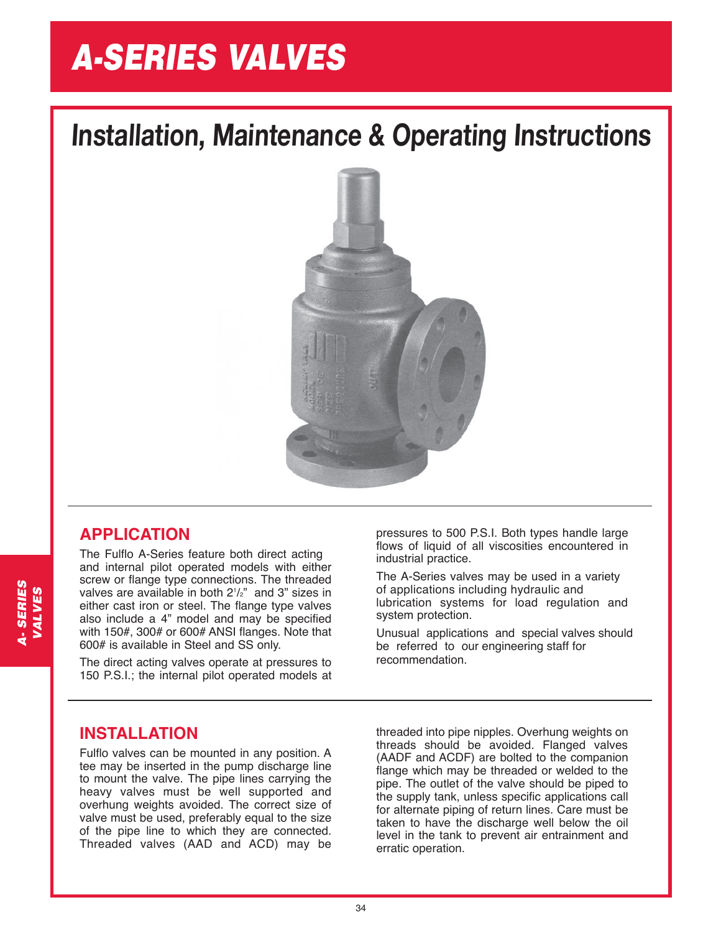# *A-SERIES VALVES*

## **Installation, Maintenance & Operating Instructions**



### **APPLICATION**

The Fulflo A-Series feature both direct acting and internal pilot operated models with either screw or flange type connections. The threaded valves are available in both 21 /2" and 3" sizes in either cast iron or steel. The flange type valves also include a 4" model and may be specified with 150#, 300# or 600# ANSI flanges. Note that 600# is available in Steel and SS only.

The direct acting valves operate at pressures to 150 P.S.I.; the internal pilot operated models at

pressures to 500 P.S.I. Both types handle large flows of liquid of all viscosities encountered in industrial practice.

The A-Series valves may be used in a variety of applications including hydraulic and lubrication systems for load regulation and system protection.

Unusual applications and special valves should be referred to our engineering staff for recommendation.

### **INSTALLATION**

Fulflo valves can be mounted in any position. A tee may be inserted in the pump discharge line to mount the valve. The pipe lines carrying the heavy valves must be well supported and overhung weights avoided. The correct size of valve must be used, preferably equal to the size of the pipe line to which they are connected. Threaded valves (AAD and ACD) may be threaded into pipe nipples. Overhung weights on threads should be avoided. Flanged valves (AADF and ACDF) are bolted to the companion flange which may be threaded or welded to the pipe. The outlet of the valve should be piped to the supply tank, unless specific applications call for alternate piping of return lines. Care must be taken to have the discharge well below the oil level in the tank to prevent air entrainment and erratic operation.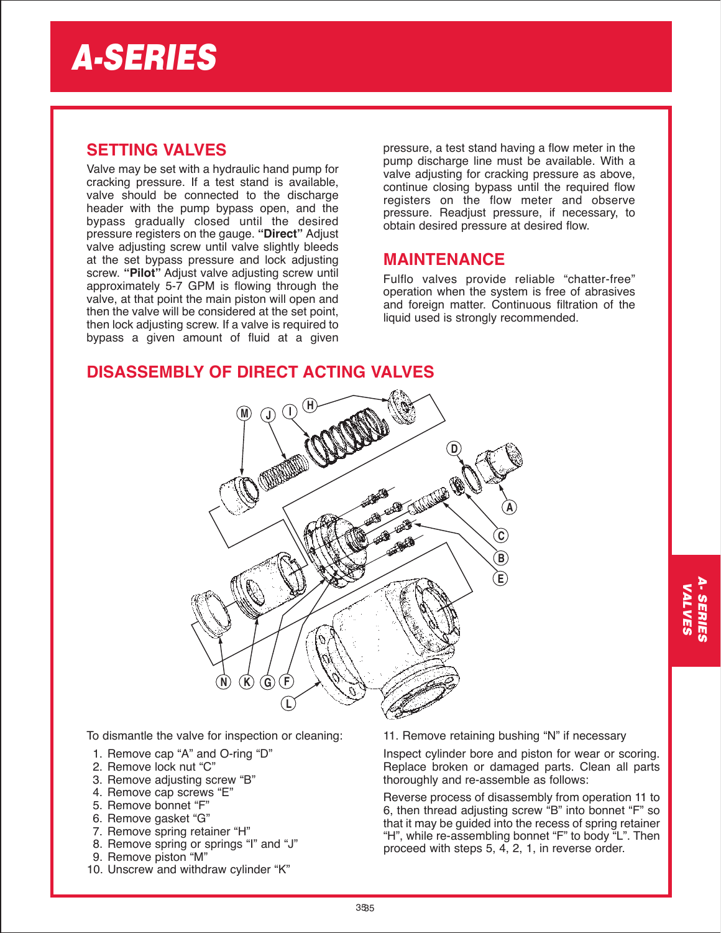### **SETTING VALVES**

Valve may be set with a hydraulic hand pump for cracking pressure. If a test stand is available, valve should be connected to the discharge header with the pump bypass open, and the bypass gradually closed until the desired pressure registers on the gauge. **"Direct"** Adjust valve adjusting screw until valve slightly bleeds at the set bypass pressure and lock adjusting screw. **"Pilot"** Adjust valve adjusting screw until approximately 5-7 GPM is flowing through the valve, at that point the main piston will open and then the valve will be considered at the set point, then lock adjusting screw. If a valve is required to bypass a given amount of fluid at a given

pressure, a test stand having a flow meter in the pump discharge line must be available. With a valve adjusting for cracking pressure as above, continue closing bypass until the required flow registers on the flow meter and observe pressure. Readjust pressure, if necessary, to obtain desired pressure at desired flow.

### **MAINTENANCE**

Fulflo valves provide reliable "chatter-free" operation when the system is free of abrasives and foreign matter. Continuous filtration of the liquid used is strongly recommended.

### **DISASSEMBLY OF DIRECT ACTING VALVES**



To dismantle the valve for inspection or cleaning:

- 1. Remove cap "A" and O-ring "D"
- 2. Remove lock nut "C"
- 3. Remove adjusting screw "B"
- 4. Remove cap screws "E"
- 5. Remove bonnet "F"
- 6. Remove gasket "G"
- 7. Remove spring retainer "H"
- 8. Remove spring or springs "I" and "J"
- 9. Remove piston "M"
- 10. Unscrew and withdraw cylinder "K"

11. Remove retaining bushing "N" if necessary

Inspect cylinder bore and piston for wear or scoring. Replace broken or damaged parts. Clean all parts thoroughly and re-assemble as follows:

Reverse process of disassembly from operation 11 to 6, then thread adjusting screw "B" into bonnet "F" so that it may be guided into the recess of spring retainer "H", while re-assembling bonnet "F" to body "L". Then proceed with steps 5, 4, 2, 1, in reverse order.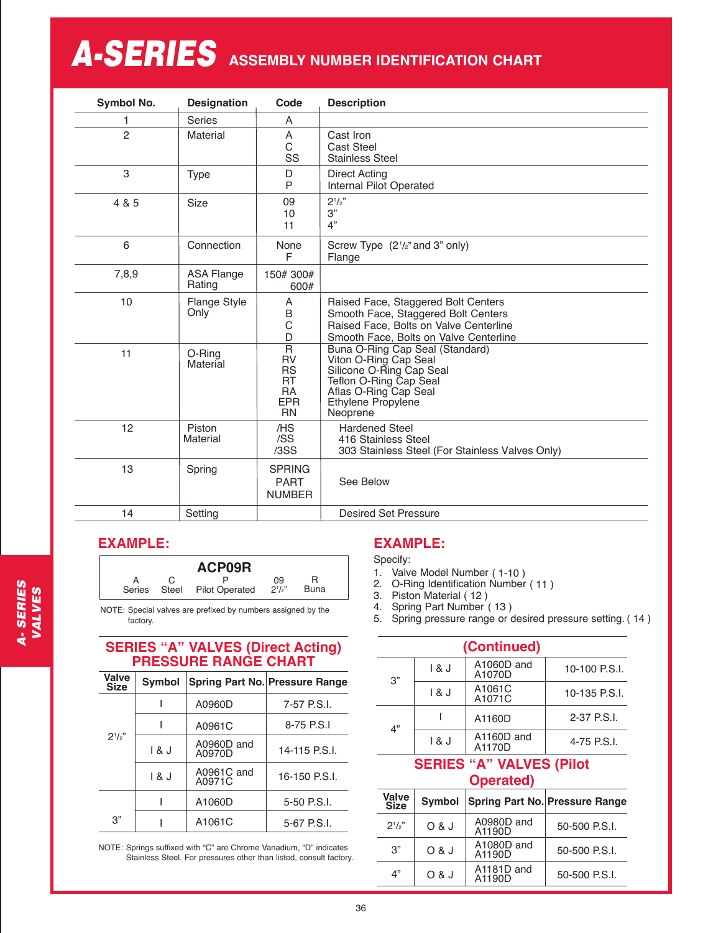# $A$ -SERIES ASSEMBLY NUMBER IDENTIFICATION CHART

| Symbol No.     | <b>Designation</b>          | Code                                                                                                   | <b>Description</b>                                                                                                                                                               |
|----------------|-----------------------------|--------------------------------------------------------------------------------------------------------|----------------------------------------------------------------------------------------------------------------------------------------------------------------------------------|
| 1              | <b>Series</b>               | A                                                                                                      |                                                                                                                                                                                  |
| $\overline{c}$ | Material                    | Α<br>C<br>SS                                                                                           | Cast Iron<br><b>Cast Steel</b><br><b>Stainless Steel</b>                                                                                                                         |
| 3              | <b>Type</b>                 | D<br>P                                                                                                 | <b>Direct Acting</b><br>Internal Pilot Operated                                                                                                                                  |
| 4 & 5          | <b>Size</b>                 | 09<br>10<br>11                                                                                         | $2^{1/2}$<br>3"<br>4"                                                                                                                                                            |
| 6              | Connection                  | None<br>F                                                                                              | Screw Type (2 <sup>1</sup> /2" and 3" only)<br>Flange                                                                                                                            |
| 7,8,9          | <b>ASA Flange</b><br>Rating | 150#300#<br>600#                                                                                       |                                                                                                                                                                                  |
| 10             | <b>Flange Style</b><br>Only | A<br>B<br>C<br>D                                                                                       | Raised Face, Staggered Bolt Centers<br>Smooth Face, Staggered Bolt Centers<br>Raised Face, Bolts on Valve Centerline<br>Smooth Face, Bolts on Valve Centerline                   |
| 11             | O-Ring<br>Material          | $\overline{\mathsf{R}}$<br><b>RV</b><br><b>RS</b><br><b>RT</b><br><b>RA</b><br><b>EPR</b><br><b>RN</b> | Buna O-Ring Cap Seal (Standard)<br>Viton O-Ring Cap Seal<br>Silicone O-Ring Cap Seal<br>Teflon O-Ring Cap Seal<br>Aflas O-Ring Cap Seal<br><b>Ethylene Propylene</b><br>Neoprene |
| 12             | Piston<br>Material          | /HS<br>/SS<br>/3SS                                                                                     | <b>Hardened Steel</b><br>416 Stainless Steel<br>303 Stainless Steel (For Stainless Valves Only)                                                                                  |
| 13             | Spring                      | <b>SPRING</b><br><b>PART</b><br><b>NUMBER</b>                                                          | See Below                                                                                                                                                                        |
| 14             | Setting                     |                                                                                                        | <b>Desired Set Pressure</b>                                                                                                                                                      |

### **EXAMPLE:**

|        |       | ACP09R                |                 |             |  |
|--------|-------|-----------------------|-----------------|-------------|--|
| Series | Steel | <b>Pilot Operated</b> | 09<br>$2^{1/2}$ | <b>Buna</b> |  |

NOTE: Special valves are prefixed by numbers assigned by the factory.

### **SERIES "A" VALVES (Direct Acting) PRESSURE RANGE CHART**

| <b>Valve</b><br><b>Size</b> | <b>Symbol</b> |                      | <b>Spring Part No. Pressure Range</b> |
|-----------------------------|---------------|----------------------|---------------------------------------|
|                             |               | A0960D               | 7-57 P.S.I.                           |
|                             |               | A0961C               | 8-75 P.S.I                            |
| $2^{1/2}$                   | 1 & J         | A0960D and<br>A0970D | 14-115 P.S.I.                         |
|                             | 1 & J         | A0961C and<br>A0971C | 16-150 P.S.I.                         |
|                             |               | A1060D               | 5-50 P.S.I.                           |
| 3"                          |               | A1061C               | 5-67 P.S.I.                           |

NOTE: Springs suffixed with "C" are Chrome Vanadium, "D" indicates Stainless Steel. For pressures other than listed, consult factory.

### **EXAMPLE:**

Specify:

- 1. Valve Model Number ( 1-10 )
- 2. O-Ring Identification Number ( 11 )
- 3. Piston Material ( 12 )
- 4. Spring Part Number ( 13 )
- 5. Spring pressure range or desired pressure setting. ( 14 )

| (Continued) |       |                      |               |  |  |
|-------------|-------|----------------------|---------------|--|--|
| 3"          | 18J   | A1060D and<br>A1070D | 10-100 P.S.I. |  |  |
|             | 1 & J | A1061C<br>A1071C     | 10-135 P.S.I. |  |  |
| 4"          |       | A1160D               | 2-37 P.S.I.   |  |  |
|             | 1 & J | A1160D and<br>A1170D | 4-75 P.S.I.   |  |  |

### **SERIES "A" VALVES (Pilot Operated)**

| Valve<br><b>Size</b> | <b>Symbol</b> |                      | <b>Spring Part No. Pressure Range</b> |
|----------------------|---------------|----------------------|---------------------------------------|
| $2^{1}/2$ "          | O & J         | A0980D and<br>A1190D | 50-500 P.S.I.                         |
| 3"                   | O & J         | A1080D and<br>A1190D | 50-500 P.S.I.                         |
| 4"                   | O & J         | A1181D and<br>A1190D | 50-500 P.S.I.                         |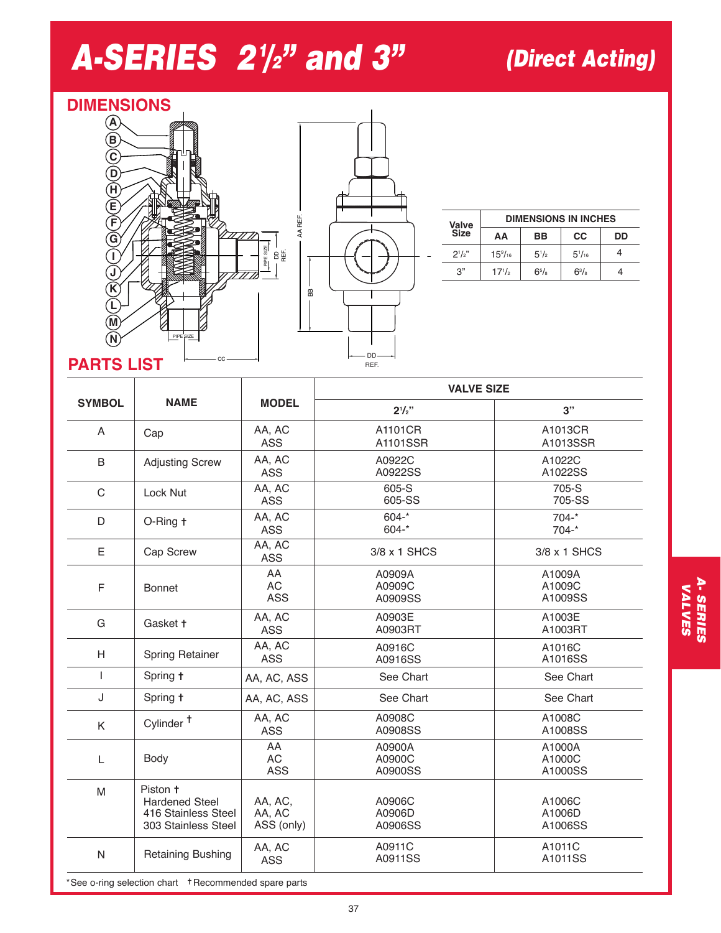# *A-SERIES 21 /2" and 3" (Direct Acting)*

### **DIMENSIONS A**

**B**

**C**

**H D**

**E**

**F G I J K L M N**



|               |                      |                  | <b>DIMENSIONS IN INCHES</b> |    |
|---------------|----------------------|------------------|-----------------------------|----|
| Valve<br>Size | ΑА                   | BB               | СC                          | DD |
| $2^{1/2}$     | $15\%$ <sub>16</sub> | $5^{1/2}$        | $5^{1}/_{16}$               |    |
| 3"            | $17^{1/2}$           | $6^{5}/\text{s}$ | $6^{3}/\mathrm{s}$          |    |

### **PARTS LIST**

PIPE SIZE

|               |                                                                                 |                                 | <b>VALVE SIZE</b>           |                             |  |
|---------------|---------------------------------------------------------------------------------|---------------------------------|-----------------------------|-----------------------------|--|
| <b>SYMBOL</b> | <b>NAME</b>                                                                     | <b>MODEL</b>                    | $2^{1/2}$                   | 3"                          |  |
| A             | Cap                                                                             | AA, AC<br><b>ASS</b>            | A1101CR<br>A1101SSR         | A1013CR<br>A1013SSR         |  |
| B             | <b>Adjusting Screw</b>                                                          | AA, AC<br><b>ASS</b>            | A0922C<br>A0922SS           | A1022C<br>A1022SS           |  |
| C             | Lock Nut                                                                        | AA, AC<br><b>ASS</b>            | 605-S<br>605-SS             | 705-S<br>705-SS             |  |
| D             | O-Ring t                                                                        | AA, AC<br><b>ASS</b>            | $604 -$ *<br>$604 -$ *      | $704 -$ *<br>$704 -$ *      |  |
| Е             | Cap Screw                                                                       | AA, AC<br>ASS                   | 3/8 x 1 SHCS                | 3/8 x 1 SHCS                |  |
| $\mathsf F$   | <b>Bonnet</b>                                                                   | AA<br>AC<br><b>ASS</b>          | A0909A<br>A0909C<br>A0909SS | A1009A<br>A1009C<br>A1009SS |  |
| G             | Gasket +                                                                        | AA, AC<br><b>ASS</b>            | A0903E<br>A0903RT           | A1003E<br>A1003RT           |  |
| H             | <b>Spring Retainer</b>                                                          | AA, AC<br><b>ASS</b>            | A0916C<br>A0916SS           | A1016C<br>A1016SS           |  |
| T             | Spring t                                                                        | AA, AC, ASS                     | See Chart                   | See Chart                   |  |
| J             | Spring +                                                                        | AA, AC, ASS                     | See Chart                   | See Chart                   |  |
| K             | Cylinder <sup>+</sup>                                                           | AA, AC<br><b>ASS</b>            | A0908C<br>A0908SS           | A1008C<br>A1008SS           |  |
| L             | Body                                                                            | AA<br><b>AC</b><br><b>ASS</b>   | A0900A<br>A0900C<br>A0900SS | A1000A<br>A1000C<br>A1000SS |  |
| M             | Piston +<br><b>Hardened Steel</b><br>416 Stainless Steel<br>303 Stainless Steel | AA, AC,<br>AA, AC<br>ASS (only) | A0906C<br>A0906D<br>A0906SS | A1006C<br>A1006D<br>A1006SS |  |
| ${\sf N}$     | Retaining Bushing                                                               | AA, AC<br><b>ASS</b>            | A0911C<br>A0911SS           | A1011C<br>A1011SS           |  |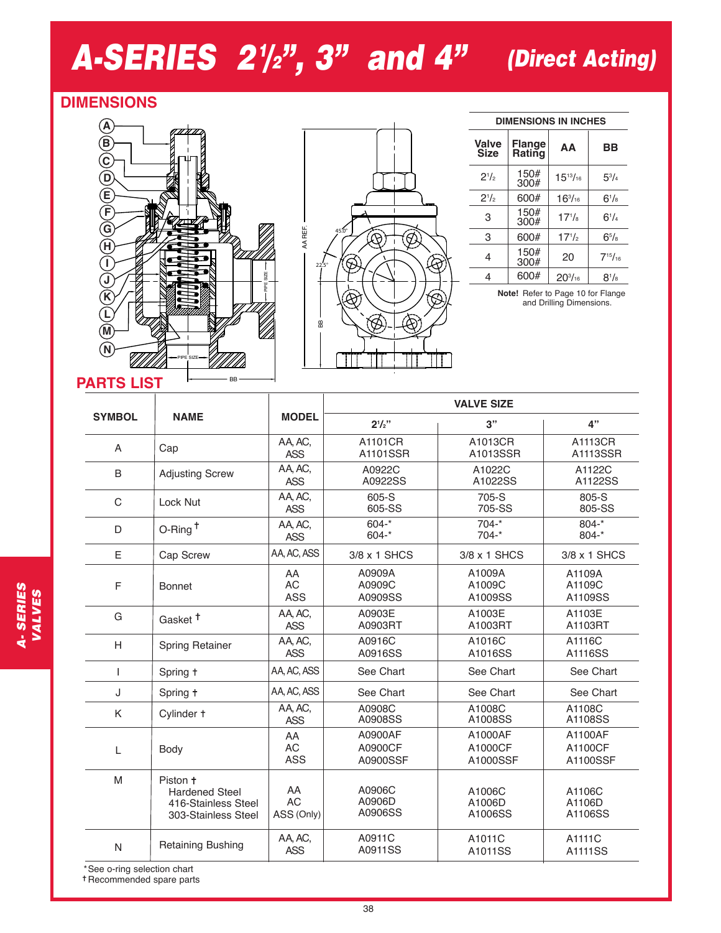# *A-SERIES 21 /2", 3" and 4" (Direct Acting)*

### **DIMENSIONS**





### **DIMENSIONS IN INCHES**

| <b>Valve</b><br>Size | <b>Flange</b><br>Rating | AA              | ВB               |
|----------------------|-------------------------|-----------------|------------------|
| $2^{1/2}$            | 150#<br>300#            | $15^{13}/_{16}$ | $5^{3}/_{4}$     |
| $2^{1/2}$            | 600#                    | $16^{3}/_{16}$  | $6^{1/s}$        |
| 3                    | 150#<br>300#            | $17^{1}/_8$     | $6^{1}/_{4}$     |
| 3                    | 600#                    | $17^{1/2}$      | $6^{5}/\text{s}$ |
| 4                    | 150#<br>300#            | 20              | $7^{15}/_{16}$   |
| 4                    | 600#                    | $20^{3}/_{16}$  | $8^{1/s}$        |

**Note!** Refer to Page 10 for Flange and Drilling Dimensions.

|                             |                                                                                 |                               | <b>VALVE SIZE</b>              |                                |                                |  |
|-----------------------------|---------------------------------------------------------------------------------|-------------------------------|--------------------------------|--------------------------------|--------------------------------|--|
| <b>SYMBOL</b>               | <b>NAME</b>                                                                     | <b>MODEL</b>                  | $2^{1}/2$ "                    | 3"                             | 4"                             |  |
| A                           | Cap                                                                             | AA, AC,<br><b>ASS</b>         | A1101CR<br>A1101SSR            | A1013CR<br>A1013SSR            | A1113CR<br>A1113SSR            |  |
| B                           | <b>Adjusting Screw</b>                                                          | AA, AC,<br><b>ASS</b>         | A0922C<br>A0922SS              | A1022C<br>A1022SS              | A1122C<br>A1122SS              |  |
| $\mathcal{C}$               | Lock Nut                                                                        | AA, AC,<br><b>ASS</b>         | 605-S<br>605-SS                | 705-S<br>705-SS                | 805-S<br>805-SS                |  |
| D                           | $O$ -Ring <sup>+</sup>                                                          | AA, AC,<br><b>ASS</b>         | $604 -$ *<br>$604 -$ *         | $704 -$ *<br>$704 -$ *         | $804 -$ *<br>$804 -$ *         |  |
| Ε                           | Cap Screw                                                                       | AA, AC, ASS                   | 3/8 x 1 SHCS                   | 3/8 x 1 SHCS                   | 3/8 x 1 SHCS                   |  |
| F                           | Bonnet                                                                          | AA<br><b>AC</b><br>ASS        | A0909A<br>A0909C<br>A0909SS    | A1009A<br>A1009C<br>A1009SS    | A1109A<br>A1109C<br>A1109SS    |  |
| G                           | Gasket <sup>+</sup>                                                             | AA, AC,<br><b>ASS</b>         | A0903E<br>A0903RT              | A1003E<br>A1003RT              | A1103E<br>A1103RT              |  |
| H                           | Spring Retainer                                                                 | AA, AC,<br><b>ASS</b>         | A0916C<br>A0916SS              | A1016C<br>A1016SS              | A1116C<br>A1116SS              |  |
| ı                           | Spring +                                                                        | AA, AC, ASS                   | See Chart                      | See Chart                      | See Chart                      |  |
| J                           | Spring +                                                                        | AA, AC, ASS                   | See Chart                      | See Chart                      | See Chart                      |  |
| K                           | Cylinder +                                                                      | AA, AC,<br><b>ASS</b>         | A0908C<br>A0908SS              | A1008C<br>A1008SS              | A1108C<br>A1108SS              |  |
| L                           | Body                                                                            | AA<br><b>AC</b><br><b>ASS</b> | A0900AF<br>A0900CF<br>A0900SSF | A1000AF<br>A1000CF<br>A1000SSF | A1100AF<br>A1100CF<br>A1100SSF |  |
| M                           | Piston +<br><b>Hardened Steel</b><br>416-Stainless Steel<br>303-Stainless Steel | AA<br><b>AC</b><br>ASS (Only) | A0906C<br>A0906D<br>A0906SS    | A1006C<br>A1006D<br>A1006SS    | A1106C<br>A1106D<br>A1106SS    |  |
| N                           | Retaining Bushing                                                               | AA, AC,<br><b>ASS</b>         | A0911C<br>A0911SS              | A1011C<br>A1011SS              | A1111C<br>A1111SS              |  |
| *See o-ring selection chart |                                                                                 |                               |                                |                                |                                |  |

Recommended spare parts

VALVES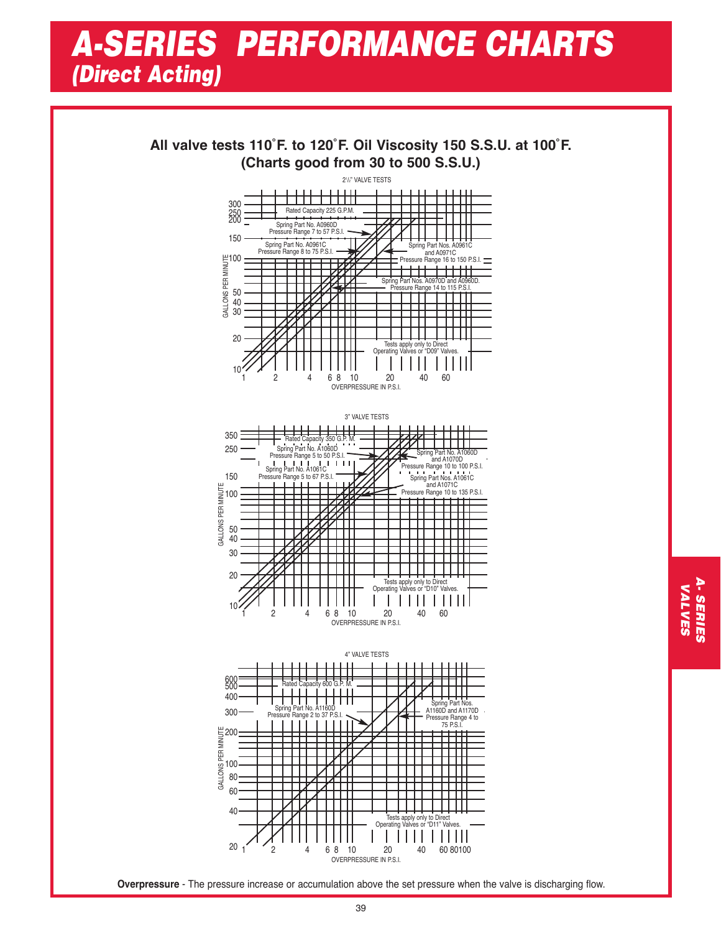## *A-SERIES PERFORMANCE CHARTS (Direct Acting)*

**All valve tests 110˚F. to 120˚F. Oil Viscosity 150 S.S.U. at 100˚F. (Charts good from 30 to 500 S.S.U.)**



3" VALVE TESTS 350 Rated Capacity 350 G.P. M. 250 Spring Part No. A1060D Spring Part No. A1060D<br>and A1070D<br>Pressure Range 10 to 100 P.S.I. Pressure Range 5 to 50 P.S.I. Spring Part No. A1061C Pressure Range 5 to 67 P.S.I. 150 Spring Part Nos. A1061C<br>and A1071C<br>Pressure Range 10 to 135 P.S.I. GALLONS PER MINUTE 100 50 40 30 20 Tests apply only to Direct Operating Valves or "D10" Valves.  $\mathsf{I}$ 10 1 2 4 6 8 10 20 40 60 OVERPRESSURE IN P.S.I.



**Overpressure** - The pressure increase or accumulation above the set pressure when the valve is discharging flow.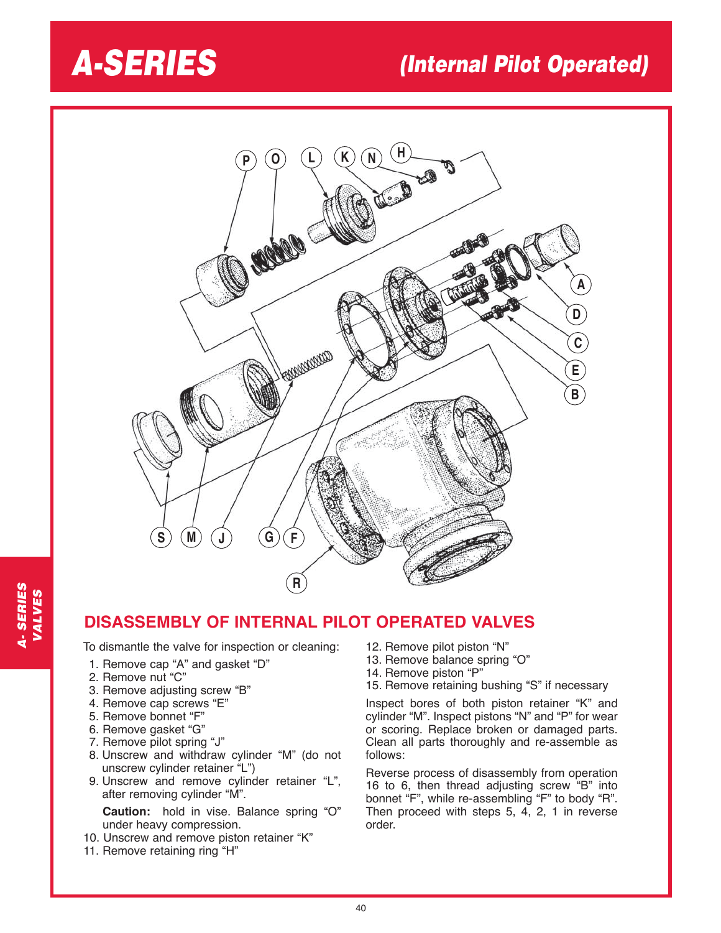## *A-SERIES (Internal Pilot Operated)*



### **DISASSEMBLY OF INTERNAL PILOT OPERATED VALVES**

To dismantle the valve for inspection or cleaning:

- 1. Remove cap "A" and gasket "D"
- 2. Remove nut "C"
- 3. Remove adjusting screw "B"
- 4. Remove cap screws "E"
- 5. Remove bonnet "F"
- 6. Remove gasket "G"
- 7. Remove pilot spring "J"
- 8. Unscrew and withdraw cylinder "M" (do not unscrew cylinder retainer "L")
- 9. Unscrew and remove cylinder retainer "L", after removing cylinder "M".

**Caution:** hold in vise. Balance spring "O" under heavy compression.

- 10. Unscrew and remove piston retainer "K"
- 11. Remove retaining ring "H"
- 12. Remove pilot piston "N"
- 13. Remove balance spring "O"
- 14. Remove piston "P"
- 15. Remove retaining bushing "S" if necessary

Inspect bores of both piston retainer "K" and cylinder "M". Inspect pistons "N" and "P" for wear or scoring. Replace broken or damaged parts. Clean all parts thoroughly and re-assemble as follows:

Reverse process of disassembly from operation 16 to 6, then thread adjusting screw "B" into bonnet "F", while re-assembling "F" to body "R". Then proceed with steps 5, 4, 2, 1 in reverse order.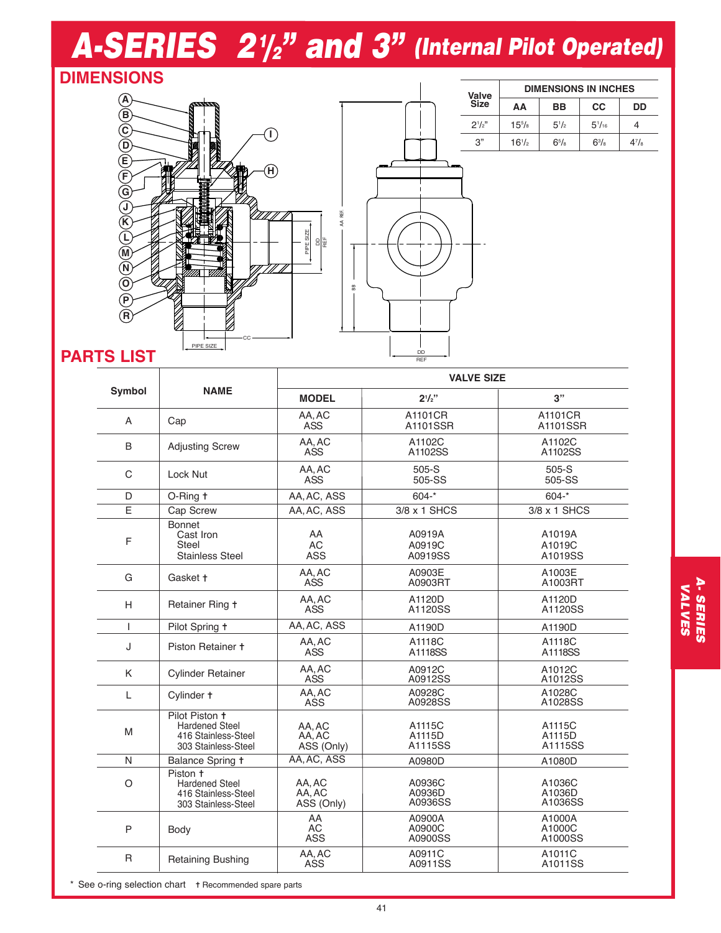# *A-SERIES 21 /2 " and 3" (Internal Pilot Operated)*

### **DIMENSIONS**





REF

| Valve       | <b>DIMENSIONS IN INCHES</b> |                  |               |                      |  |
|-------------|-----------------------------|------------------|---------------|----------------------|--|
| <b>Size</b> | ΔА                          | <b>BB</b>        | <b>CC</b>     | DD                   |  |
| $2^{1}/2$   | $15^{5}/\mathrm{s}$         | $5^{1}/_{2}$     | $5^{1}/_{16}$ |                      |  |
| 3"          | $16^{1/2}$                  | $6^{5}/\text{s}$ | $6^{3}/a$     | $4^7$ / <sub>8</sub> |  |

### **PARTS LIST**

|               |                                                                                       | <b>VALVE SIZE</b>              |                             |                             |  |
|---------------|---------------------------------------------------------------------------------------|--------------------------------|-----------------------------|-----------------------------|--|
| <b>Symbol</b> | <b>NAME</b>                                                                           | <b>MODEL</b>                   | $2^{1/2}$                   | 3"                          |  |
| A             | Cap                                                                                   | AA, AC<br><b>ASS</b>           | A1101CR<br>A1101SSR         | A1101CR<br>A1101SSR         |  |
| B             | <b>Adjusting Screw</b>                                                                | AA.AC<br>ASS                   | A1102C<br>A1102SS           | A1102C<br>A1102SS           |  |
| $\mathcal{C}$ | Lock Nut                                                                              | AA, AC<br><b>ASS</b>           | 505-S<br>505-SS             | $505-S$<br>505-SS           |  |
| D             | O-Ring t                                                                              | AA, AC, ASS                    | $604 -$ *                   | $604 -$ *                   |  |
| E             | Cap Screw                                                                             | AA.AC.ASS                      | 3/8 x 1 SHCS                | 3/8 x 1 SHCS                |  |
| F             | <b>Bonnet</b><br>Cast Iron<br>Steel<br><b>Stainless Steel</b>                         | AA<br><b>AC</b><br><b>ASS</b>  | A0919A<br>A0919C<br>A0919SS | A1019A<br>A1019C<br>A1019SS |  |
| G             | Gasket +                                                                              | AA.AC<br>ASS                   | A0903E<br>A0903RT           | A1003E<br>A1003RT           |  |
| H             | Retainer Ring +                                                                       | AA, AC<br><b>ASS</b>           | A1120D<br>A1120SS           | A1120D<br>A1120SS           |  |
| T             | Pilot Spring +                                                                        | AA, AC, ASS                    | A1190D                      | A1190D                      |  |
| J             | Piston Retainer +                                                                     | AA, AC<br>ASS                  | A1118C<br>A1118SS           | A1118C<br>A1118SS           |  |
| K             | <b>Cylinder Retainer</b>                                                              | AA, AC<br>ASS                  | A0912C<br>A0912SS           | A1012C<br>A1012SS           |  |
| L             | Cylinder +                                                                            | AA, AC<br>ASS                  | A0928C<br>A0928SS           | A1028C<br>A1028SS           |  |
| M             | Pilot Piston +<br><b>Hardened Steel</b><br>416 Stainless-Steel<br>303 Stainless-Steel | AA, AC<br>AA, AC<br>ASS (Only) | A1115C<br>A1115D<br>A1115SS | A1115C<br>A1115D<br>A1115SS |  |
| N             | Balance Spring +                                                                      | AA, AC, ASS                    | A0980D                      | A1080D                      |  |
| $\circ$       | Piston +<br><b>Hardened Steel</b><br>416 Stainless-Steel<br>303 Stainless-Steel       | AA, AC<br>AA, AC<br>ASS (Only) | A0936C<br>A0936D<br>A0936SS | A1036C<br>A1036D<br>A1036SS |  |
| P             | Body                                                                                  | AA<br>АC<br><b>ASS</b>         | A0900A<br>A0900C<br>A0900SS | A1000A<br>A1000C<br>A1000SS |  |
| R             | Retaining Bushing                                                                     | AA, AC<br>ASS                  | A0911C<br>A0911SS           | A1011C<br>A1011SS           |  |

**A. SERIES**<br>VALVES A- SERIES VALVES

Recommended spare parts \* See o-ring selection chart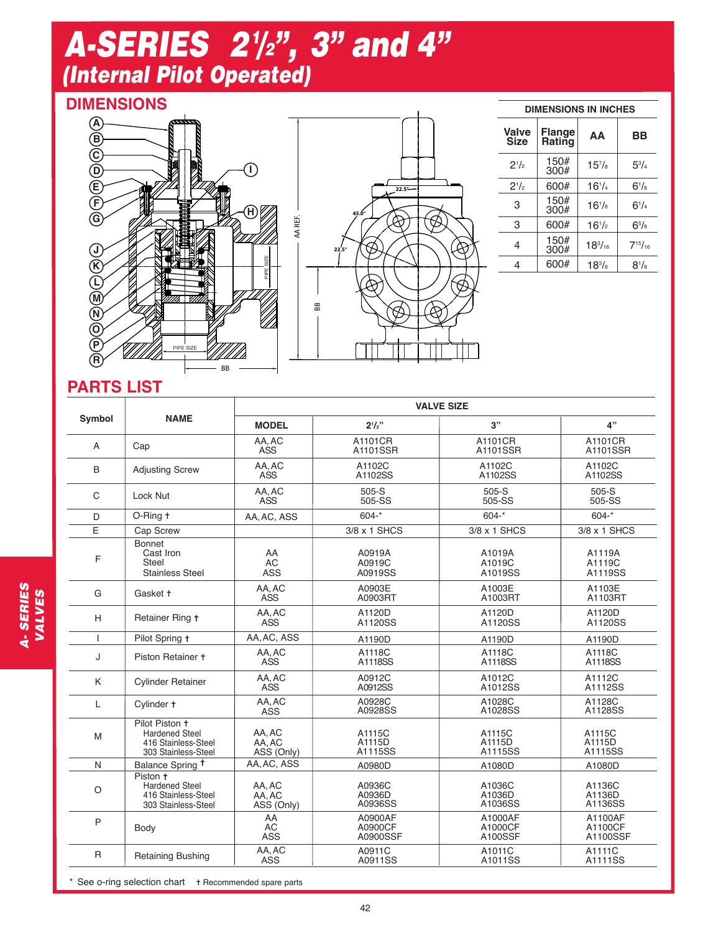## *A-SERIES 21 /2", 3" and 4" (Internal Pilot Operated)*

### **DIMENSIONS**





|                             | <b>DIMENSIONS IN INCHES</b> |                |                  |  |  |  |
|-----------------------------|-----------------------------|----------------|------------------|--|--|--|
| <b>Valve</b><br><b>Size</b> | <b>Flange</b><br>Rating     | AΑ             | ВB               |  |  |  |
| $2^{1/2}$                   | 150#<br>300#                | $15^{7}/s$     | $5^{3}/_{4}$     |  |  |  |
| $2^{1/2}$                   | 600#                        | $16^{1/4}$     | $6^{1}/s$        |  |  |  |
| 3                           | 150#<br>300#                | $16^{1}/s$     | $6^{1}/_{4}$     |  |  |  |
| 3                           | 600#                        | $16^{1}/2$     | $6^{5}/\text{s}$ |  |  |  |
| 4                           | 150#<br>300#                | $18^{3}/_{16}$ | $7^{15}/_{16}$   |  |  |  |
| 4                           | 600#                        | $18^{3}/_{8}$  | $8^{1}/_{8}$     |  |  |  |

### **PARTS LIST**

| Symbol       | <b>NAME</b>                                                                           | <b>VALVE SIZE</b>             |                                |                               |                                |
|--------------|---------------------------------------------------------------------------------------|-------------------------------|--------------------------------|-------------------------------|--------------------------------|
|              |                                                                                       | <b>MODEL</b>                  | $2^{1}/2"$                     | 3"                            | 4"                             |
| A            | Cap                                                                                   | AA, AC<br><b>ASS</b>          | A1101CR<br>A1101SSR            | A1101CR<br>A1101SSR           | A1101CR<br>A1101SSR            |
| B            | <b>Adjusting Screw</b>                                                                | AA.AC<br>ASS                  | A1102C<br>A1102SS              | A1102C<br>A1102SS             | A1102C<br>A1102SS              |
| C            | Lock Nut                                                                              | AA.AC<br><b>ASS</b>           | $505-S$<br>505-SS              | $505-S$<br>505-SS             | $505-S$<br>505-SS              |
| D.           | O-Ring t                                                                              | AA, AC, ASS                   | $604 -$ *                      | $604 -$ *                     | $604 -$ *                      |
| E            | Cap Screw                                                                             |                               | 3/8 x 1 SHCS                   | 3/8 x 1 SHCS                  | 3/8 x 1 SHCS                   |
| F            | Bonnet<br>Cast Iron<br>Steel<br><b>Stainless Steel</b>                                | AA<br><b>AC</b><br><b>ASS</b> | A0919A<br>A0919C<br>A0919SS    | A1019A<br>A1019C<br>A1019SS   | A1119A<br>A1119C<br>A1119SS    |
| G            | Gasket +                                                                              | AA, AC<br><b>ASS</b>          | A0903E<br>A0903RT              | A1003E<br>A1003RT             | A1103E<br>A1103RT              |
| H            | Retainer Ring +                                                                       | AA, AC<br><b>ASS</b>          | A1120D<br>A1120SS              | A1120D<br>A1120SS             | A1120D<br>A1120SS              |
| I            | Pilot Spring +                                                                        | AA, AC, ASS                   | A1190D                         | A1190D                        | A1190D                         |
| J            | Piston Retainer +                                                                     | AA, AC<br>ASS                 | A1118C<br>A1118SS              | A1118C<br>A1118SS             | A1118C<br>A1118SS              |
| K            | <b>Cylinder Retainer</b>                                                              | AA, AC<br>ASS                 | A0912C<br>A0912SS              | A1012C<br>A1012SS             | A1112C<br>A1112SS              |
| L            | Cylinder +                                                                            | AA, AC<br>ASS                 | A0928C<br>A0928SS              | A1028C<br>A1028SS             | A1128C<br>A1128SS              |
| M            | Pilot Piston +<br><b>Hardened Steel</b><br>416 Stainless-Steel<br>303 Stainless-Steel | AA, AC<br>AA.AC<br>ASS (Only) | A1115C<br>A1115D<br>A1115SS    | A1115C<br>A1115D<br>A1115SS   | A1115C<br>A1115D<br>A1115SS    |
| N            | Balance Spring <sup>+</sup>                                                           | AA.AC. ASS                    | A0980D                         | A1080D                        | A1080D                         |
| O            | Piston +<br><b>Hardened Steel</b><br>416 Stainless-Steel<br>303 Stainless-Steel       | AA, AC<br>AA.AC<br>ASS (Only) | A0936C<br>A0936D<br>A0936SS    | A1036C<br>A1036D<br>A1036SS   | A1136C<br>A1136D<br>A1136SS    |
| P            | Body                                                                                  | AA<br><b>AC</b><br><b>ASS</b> | A0900AF<br>A0900CF<br>A0900SSF | A1000AF<br>A1000CF<br>A100SSF | A1100AF<br>A1100CF<br>A1100SSF |
| $\mathsf{R}$ | <b>Retaining Bushing</b>                                                              | AA, AC<br>ASS                 | A0911C<br>A0911SS              | A1011C<br>A1011SS             | A1111C<br>A1111SS              |

Recommended spare parts \* See o-ring selection chart